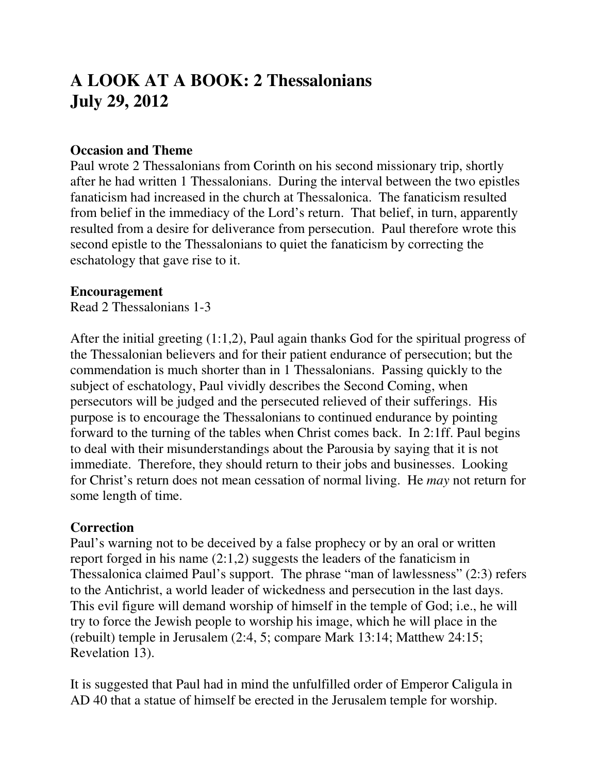# **A LOOK AT A BOOK: 2 Thessalonians July 29, 2012**

#### **Occasion and Theme**

Paul wrote 2 Thessalonians from Corinth on his second missionary trip, shortly after he had written 1 Thessalonians. During the interval between the two epistles fanaticism had increased in the church at Thessalonica. The fanaticism resulted from belief in the immediacy of the Lord's return. That belief, in turn, apparently resulted from a desire for deliverance from persecution. Paul therefore wrote this second epistle to the Thessalonians to quiet the fanaticism by correcting the eschatology that gave rise to it.

#### **Encouragement**

Read 2 Thessalonians 1-3

After the initial greeting (1:1,2), Paul again thanks God for the spiritual progress of the Thessalonian believers and for their patient endurance of persecution; but the commendation is much shorter than in 1 Thessalonians. Passing quickly to the subject of eschatology, Paul vividly describes the Second Coming, when persecutors will be judged and the persecuted relieved of their sufferings. His purpose is to encourage the Thessalonians to continued endurance by pointing forward to the turning of the tables when Christ comes back. In 2:1ff. Paul begins to deal with their misunderstandings about the Parousia by saying that it is not immediate. Therefore, they should return to their jobs and businesses. Looking for Christ's return does not mean cessation of normal living. He *may* not return for some length of time.

#### **Correction**

Paul's warning not to be deceived by a false prophecy or by an oral or written report forged in his name (2:1,2) suggests the leaders of the fanaticism in Thessalonica claimed Paul's support. The phrase "man of lawlessness" (2:3) refers to the Antichrist, a world leader of wickedness and persecution in the last days. This evil figure will demand worship of himself in the temple of God; i.e., he will try to force the Jewish people to worship his image, which he will place in the (rebuilt) temple in Jerusalem (2:4, 5; compare Mark 13:14; Matthew 24:15; Revelation 13).

It is suggested that Paul had in mind the unfulfilled order of Emperor Caligula in AD 40 that a statue of himself be erected in the Jerusalem temple for worship.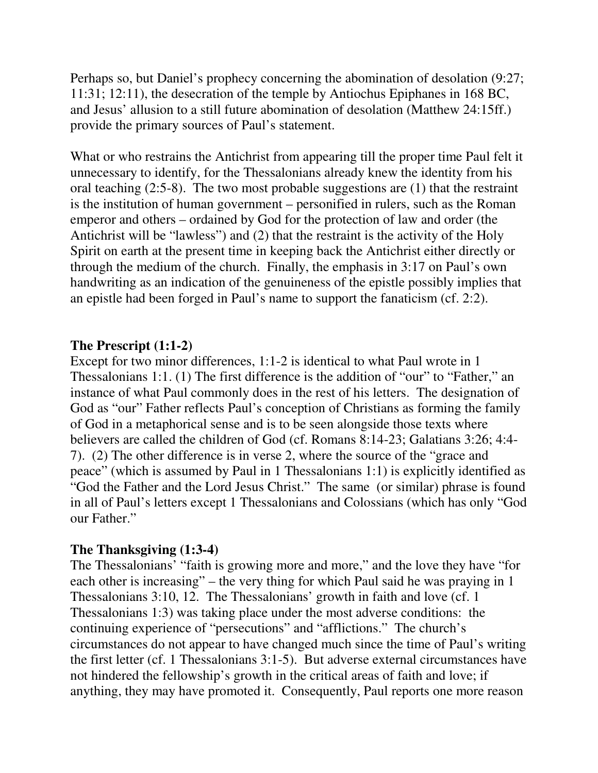Perhaps so, but Daniel's prophecy concerning the abomination of desolation (9:27; 11:31; 12:11), the desecration of the temple by Antiochus Epiphanes in 168 BC, and Jesus' allusion to a still future abomination of desolation (Matthew 24:15ff.) provide the primary sources of Paul's statement.

What or who restrains the Antichrist from appearing till the proper time Paul felt it unnecessary to identify, for the Thessalonians already knew the identity from his oral teaching (2:5-8). The two most probable suggestions are (1) that the restraint is the institution of human government – personified in rulers, such as the Roman emperor and others – ordained by God for the protection of law and order (the Antichrist will be "lawless") and (2) that the restraint is the activity of the Holy Spirit on earth at the present time in keeping back the Antichrist either directly or through the medium of the church. Finally, the emphasis in 3:17 on Paul's own handwriting as an indication of the genuineness of the epistle possibly implies that an epistle had been forged in Paul's name to support the fanaticism (cf. 2:2).

## **The Prescript (1:1-2)**

Except for two minor differences, 1:1-2 is identical to what Paul wrote in 1 Thessalonians 1:1. (1) The first difference is the addition of "our" to "Father," an instance of what Paul commonly does in the rest of his letters. The designation of God as "our" Father reflects Paul's conception of Christians as forming the family of God in a metaphorical sense and is to be seen alongside those texts where believers are called the children of God (cf. Romans 8:14-23; Galatians 3:26; 4:4- 7). (2) The other difference is in verse 2, where the source of the "grace and peace" (which is assumed by Paul in 1 Thessalonians 1:1) is explicitly identified as "God the Father and the Lord Jesus Christ." The same (or similar) phrase is found in all of Paul's letters except 1 Thessalonians and Colossians (which has only "God our Father."

## **The Thanksgiving (1:3-4)**

The Thessalonians' "faith is growing more and more," and the love they have "for each other is increasing" – the very thing for which Paul said he was praying in 1 Thessalonians 3:10, 12. The Thessalonians' growth in faith and love (cf. 1 Thessalonians 1:3) was taking place under the most adverse conditions: the continuing experience of "persecutions" and "afflictions." The church's circumstances do not appear to have changed much since the time of Paul's writing the first letter (cf. 1 Thessalonians 3:1-5). But adverse external circumstances have not hindered the fellowship's growth in the critical areas of faith and love; if anything, they may have promoted it. Consequently, Paul reports one more reason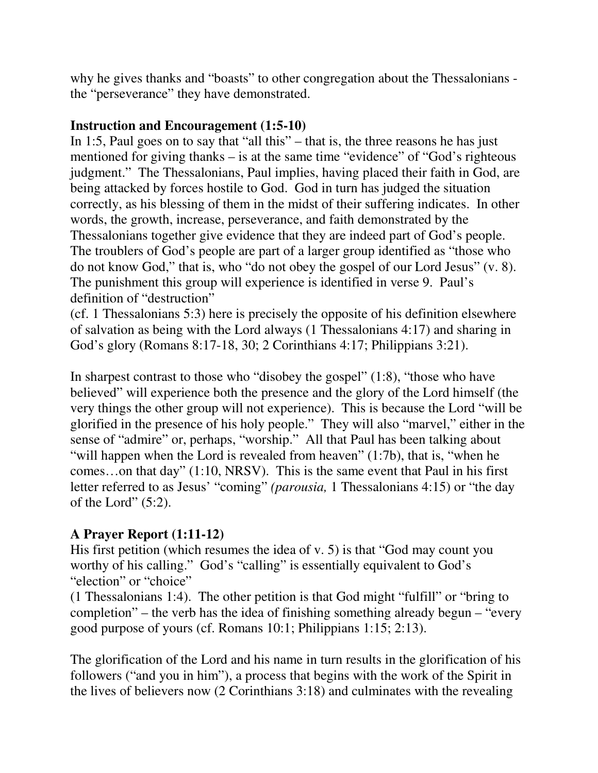why he gives thanks and "boasts" to other congregation about the Thessalonians the "perseverance" they have demonstrated.

## **Instruction and Encouragement (1:5-10)**

In 1:5, Paul goes on to say that "all this" – that is, the three reasons he has just mentioned for giving thanks – is at the same time "evidence" of "God's righteous judgment." The Thessalonians, Paul implies, having placed their faith in God, are being attacked by forces hostile to God. God in turn has judged the situation correctly, as his blessing of them in the midst of their suffering indicates. In other words, the growth, increase, perseverance, and faith demonstrated by the Thessalonians together give evidence that they are indeed part of God's people. The troublers of God's people are part of a larger group identified as "those who do not know God," that is, who "do not obey the gospel of our Lord Jesus" (v. 8). The punishment this group will experience is identified in verse 9. Paul's definition of "destruction"

(cf. 1 Thessalonians 5:3) here is precisely the opposite of his definition elsewhere of salvation as being with the Lord always (1 Thessalonians 4:17) and sharing in God's glory (Romans 8:17-18, 30; 2 Corinthians 4:17; Philippians 3:21).

In sharpest contrast to those who "disobey the gospel" (1:8), "those who have believed" will experience both the presence and the glory of the Lord himself (the very things the other group will not experience). This is because the Lord "will be glorified in the presence of his holy people." They will also "marvel," either in the sense of "admire" or, perhaps, "worship." All that Paul has been talking about "will happen when the Lord is revealed from heaven" (1:7b), that is, "when he comes…on that day" (1:10, NRSV). This is the same event that Paul in his first letter referred to as Jesus' "coming" *(parousia,* 1 Thessalonians 4:15) or "the day of the Lord"  $(5:2)$ .

# **A Prayer Report (1:11-12)**

His first petition (which resumes the idea of v. 5) is that "God may count you worthy of his calling." God's "calling" is essentially equivalent to God's "election" or "choice"

(1 Thessalonians 1:4). The other petition is that God might "fulfill" or "bring to completion" – the verb has the idea of finishing something already begun – "every good purpose of yours (cf. Romans 10:1; Philippians 1:15; 2:13).

The glorification of the Lord and his name in turn results in the glorification of his followers ("and you in him"), a process that begins with the work of the Spirit in the lives of believers now (2 Corinthians 3:18) and culminates with the revealing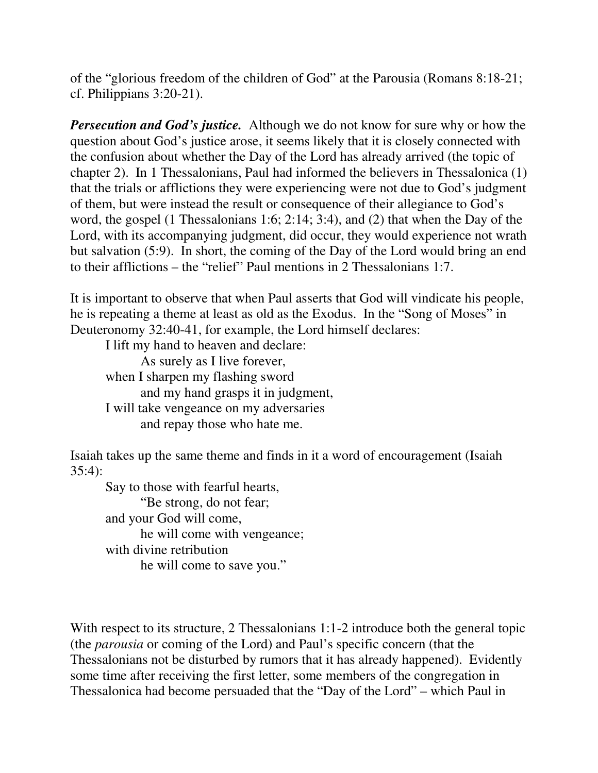of the "glorious freedom of the children of God" at the Parousia (Romans 8:18-21; cf. Philippians 3:20-21).

*Persecution and God's justice.* Although we do not know for sure why or how the question about God's justice arose, it seems likely that it is closely connected with the confusion about whether the Day of the Lord has already arrived (the topic of chapter 2). In 1 Thessalonians, Paul had informed the believers in Thessalonica (1) that the trials or afflictions they were experiencing were not due to God's judgment of them, but were instead the result or consequence of their allegiance to God's word, the gospel (1 Thessalonians 1:6; 2:14; 3:4), and (2) that when the Day of the Lord, with its accompanying judgment, did occur, they would experience not wrath but salvation (5:9). In short, the coming of the Day of the Lord would bring an end to their afflictions – the "relief" Paul mentions in 2 Thessalonians 1:7.

It is important to observe that when Paul asserts that God will vindicate his people, he is repeating a theme at least as old as the Exodus. In the "Song of Moses" in Deuteronomy 32:40-41, for example, the Lord himself declares:

 I lift my hand to heaven and declare: As surely as I live forever, when I sharpen my flashing sword and my hand grasps it in judgment, I will take vengeance on my adversaries and repay those who hate me.

Isaiah takes up the same theme and finds in it a word of encouragement (Isaiah 35:4):

 Say to those with fearful hearts, "Be strong, do not fear; and your God will come, he will come with vengeance; with divine retribution he will come to save you."

With respect to its structure, 2 Thessalonians 1:1-2 introduce both the general topic (the *parousia* or coming of the Lord) and Paul's specific concern (that the Thessalonians not be disturbed by rumors that it has already happened). Evidently some time after receiving the first letter, some members of the congregation in Thessalonica had become persuaded that the "Day of the Lord" – which Paul in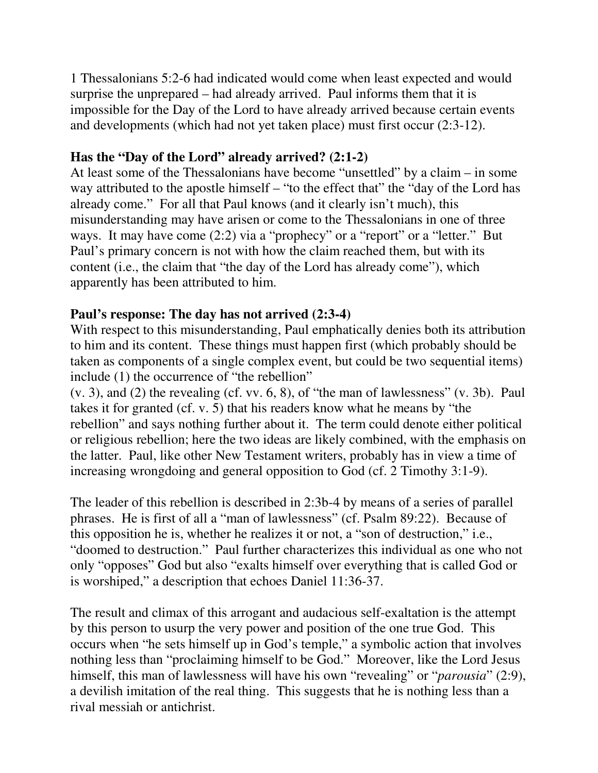1 Thessalonians 5:2-6 had indicated would come when least expected and would surprise the unprepared – had already arrived. Paul informs them that it is impossible for the Day of the Lord to have already arrived because certain events and developments (which had not yet taken place) must first occur (2:3-12).

# **Has the "Day of the Lord" already arrived? (2:1-2)**

At least some of the Thessalonians have become "unsettled" by a claim – in some way attributed to the apostle himself – "to the effect that" the "day of the Lord has already come." For all that Paul knows (and it clearly isn't much), this misunderstanding may have arisen or come to the Thessalonians in one of three ways. It may have come (2:2) via a "prophecy" or a "report" or a "letter." But Paul's primary concern is not with how the claim reached them, but with its content (i.e., the claim that "the day of the Lord has already come"), which apparently has been attributed to him.

## **Paul's response: The day has not arrived (2:3-4)**

With respect to this misunderstanding, Paul emphatically denies both its attribution to him and its content. These things must happen first (which probably should be taken as components of a single complex event, but could be two sequential items) include (1) the occurrence of "the rebellion"

(v. 3), and (2) the revealing (cf. vv. 6, 8), of "the man of lawlessness" (v. 3b). Paul takes it for granted (cf. v. 5) that his readers know what he means by "the rebellion" and says nothing further about it. The term could denote either political or religious rebellion; here the two ideas are likely combined, with the emphasis on the latter. Paul, like other New Testament writers, probably has in view a time of increasing wrongdoing and general opposition to God (cf. 2 Timothy 3:1-9).

The leader of this rebellion is described in 2:3b-4 by means of a series of parallel phrases. He is first of all a "man of lawlessness" (cf. Psalm 89:22). Because of this opposition he is, whether he realizes it or not, a "son of destruction," i.e., "doomed to destruction." Paul further characterizes this individual as one who not only "opposes" God but also "exalts himself over everything that is called God or is worshiped," a description that echoes Daniel 11:36-37.

The result and climax of this arrogant and audacious self-exaltation is the attempt by this person to usurp the very power and position of the one true God. This occurs when "he sets himself up in God's temple," a symbolic action that involves nothing less than "proclaiming himself to be God." Moreover, like the Lord Jesus himself, this man of lawlessness will have his own "revealing" or "*parousia*" (2:9), a devilish imitation of the real thing. This suggests that he is nothing less than a rival messiah or antichrist.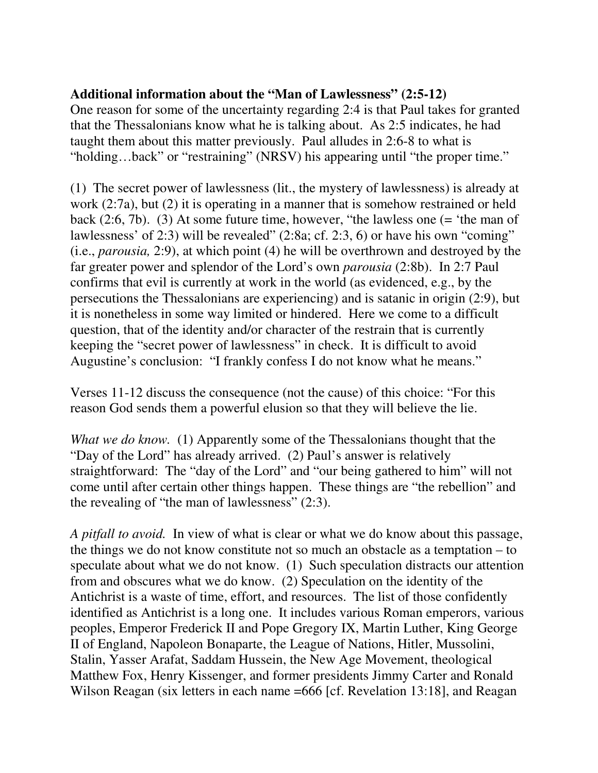## **Additional information about the "Man of Lawlessness" (2:5-12)**

One reason for some of the uncertainty regarding 2:4 is that Paul takes for granted that the Thessalonians know what he is talking about. As 2:5 indicates, he had taught them about this matter previously. Paul alludes in 2:6-8 to what is "holding…back" or "restraining" (NRSV) his appearing until "the proper time."

(1) The secret power of lawlessness (lit., the mystery of lawlessness) is already at work (2:7a), but (2) it is operating in a manner that is somehow restrained or held back (2:6, 7b). (3) At some future time, however, "the lawless one (= 'the man of lawlessness' of 2:3) will be revealed" (2:8a; cf. 2:3, 6) or have his own "coming" (i.e., *parousia,* 2:9), at which point (4) he will be overthrown and destroyed by the far greater power and splendor of the Lord's own *parousia* (2:8b). In 2:7 Paul confirms that evil is currently at work in the world (as evidenced, e.g., by the persecutions the Thessalonians are experiencing) and is satanic in origin (2:9), but it is nonetheless in some way limited or hindered. Here we come to a difficult question, that of the identity and/or character of the restrain that is currently keeping the "secret power of lawlessness" in check. It is difficult to avoid Augustine's conclusion: "I frankly confess I do not know what he means."

Verses 11-12 discuss the consequence (not the cause) of this choice: "For this reason God sends them a powerful elusion so that they will believe the lie.

*What we do know.* (1) Apparently some of the Thessalonians thought that the "Day of the Lord" has already arrived. (2) Paul's answer is relatively straightforward: The "day of the Lord" and "our being gathered to him" will not come until after certain other things happen. These things are "the rebellion" and the revealing of "the man of lawlessness" (2:3).

*A pitfall to avoid.* In view of what is clear or what we do know about this passage, the things we do not know constitute not so much an obstacle as a temptation – to speculate about what we do not know. (1) Such speculation distracts our attention from and obscures what we do know. (2) Speculation on the identity of the Antichrist is a waste of time, effort, and resources. The list of those confidently identified as Antichrist is a long one. It includes various Roman emperors, various peoples, Emperor Frederick II and Pope Gregory IX, Martin Luther, King George II of England, Napoleon Bonaparte, the League of Nations, Hitler, Mussolini, Stalin, Yasser Arafat, Saddam Hussein, the New Age Movement, theological Matthew Fox, Henry Kissenger, and former presidents Jimmy Carter and Ronald Wilson Reagan (six letters in each name =666 [cf. Revelation 13:18], and Reagan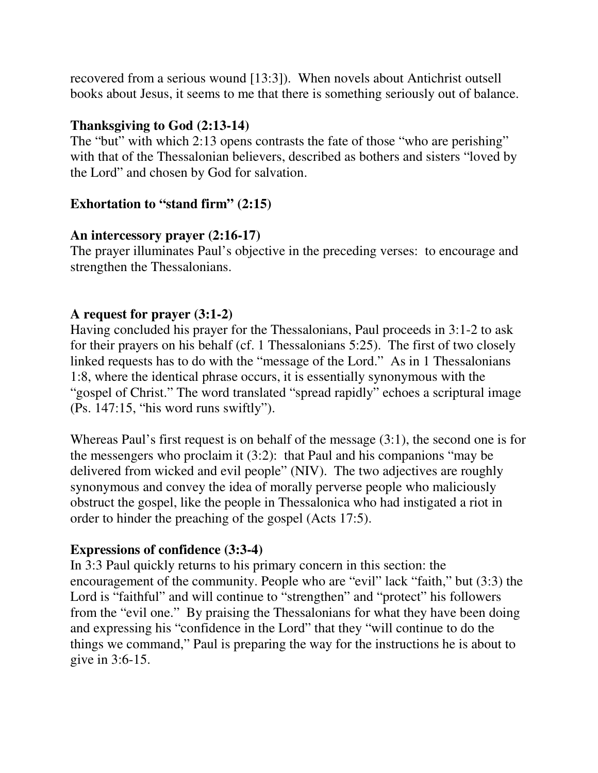recovered from a serious wound [13:3]). When novels about Antichrist outsell books about Jesus, it seems to me that there is something seriously out of balance.

#### **Thanksgiving to God (2:13-14)**

The "but" with which 2:13 opens contrasts the fate of those "who are perishing" with that of the Thessalonian believers, described as bothers and sisters "loved by the Lord" and chosen by God for salvation.

## **Exhortation to "stand firm" (2:15)**

## **An intercessory prayer (2:16-17)**

The prayer illuminates Paul's objective in the preceding verses: to encourage and strengthen the Thessalonians.

# **A request for prayer (3:1-2)**

Having concluded his prayer for the Thessalonians, Paul proceeds in 3:1-2 to ask for their prayers on his behalf (cf. 1 Thessalonians 5:25). The first of two closely linked requests has to do with the "message of the Lord." As in 1 Thessalonians 1:8, where the identical phrase occurs, it is essentially synonymous with the "gospel of Christ." The word translated "spread rapidly" echoes a scriptural image (Ps. 147:15, "his word runs swiftly").

Whereas Paul's first request is on behalf of the message (3:1), the second one is for the messengers who proclaim it (3:2): that Paul and his companions "may be delivered from wicked and evil people" (NIV). The two adjectives are roughly synonymous and convey the idea of morally perverse people who maliciously obstruct the gospel, like the people in Thessalonica who had instigated a riot in order to hinder the preaching of the gospel (Acts 17:5).

## **Expressions of confidence (3:3-4)**

In 3:3 Paul quickly returns to his primary concern in this section: the encouragement of the community. People who are "evil" lack "faith," but (3:3) the Lord is "faithful" and will continue to "strengthen" and "protect" his followers from the "evil one." By praising the Thessalonians for what they have been doing and expressing his "confidence in the Lord" that they "will continue to do the things we command," Paul is preparing the way for the instructions he is about to give in 3:6-15.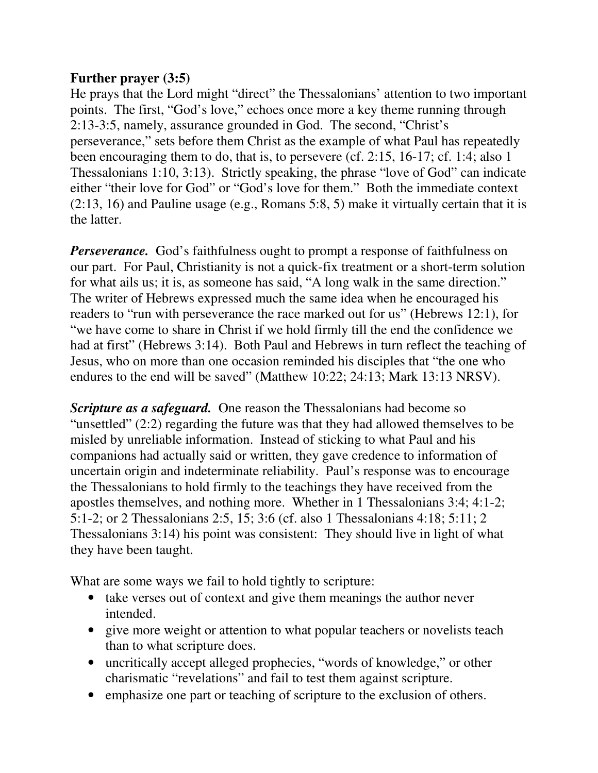## **Further prayer (3:5)**

He prays that the Lord might "direct" the Thessalonians' attention to two important points. The first, "God's love," echoes once more a key theme running through 2:13-3:5, namely, assurance grounded in God. The second, "Christ's perseverance," sets before them Christ as the example of what Paul has repeatedly been encouraging them to do, that is, to persevere (cf. 2:15, 16-17; cf. 1:4; also 1 Thessalonians 1:10, 3:13). Strictly speaking, the phrase "love of God" can indicate either "their love for God" or "God's love for them." Both the immediate context (2:13, 16) and Pauline usage (e.g., Romans 5:8, 5) make it virtually certain that it is the latter.

*Perseverance.* God's faithfulness ought to prompt a response of faithfulness on our part. For Paul, Christianity is not a quick-fix treatment or a short-term solution for what ails us; it is, as someone has said, "A long walk in the same direction." The writer of Hebrews expressed much the same idea when he encouraged his readers to "run with perseverance the race marked out for us" (Hebrews 12:1), for "we have come to share in Christ if we hold firmly till the end the confidence we had at first" (Hebrews 3:14). Both Paul and Hebrews in turn reflect the teaching of Jesus, who on more than one occasion reminded his disciples that "the one who endures to the end will be saved" (Matthew 10:22; 24:13; Mark 13:13 NRSV).

*Scripture as a safeguard.* One reason the Thessalonians had become so "unsettled" (2:2) regarding the future was that they had allowed themselves to be misled by unreliable information. Instead of sticking to what Paul and his companions had actually said or written, they gave credence to information of uncertain origin and indeterminate reliability. Paul's response was to encourage the Thessalonians to hold firmly to the teachings they have received from the apostles themselves, and nothing more. Whether in 1 Thessalonians 3:4; 4:1-2; 5:1-2; or 2 Thessalonians 2:5, 15; 3:6 (cf. also 1 Thessalonians 4:18; 5:11; 2 Thessalonians 3:14) his point was consistent: They should live in light of what they have been taught.

What are some ways we fail to hold tightly to scripture:

- take verses out of context and give them meanings the author never intended.
- give more weight or attention to what popular teachers or novelists teach than to what scripture does.
- uncritically accept alleged prophecies, "words of knowledge," or other charismatic "revelations" and fail to test them against scripture.
- emphasize one part or teaching of scripture to the exclusion of others.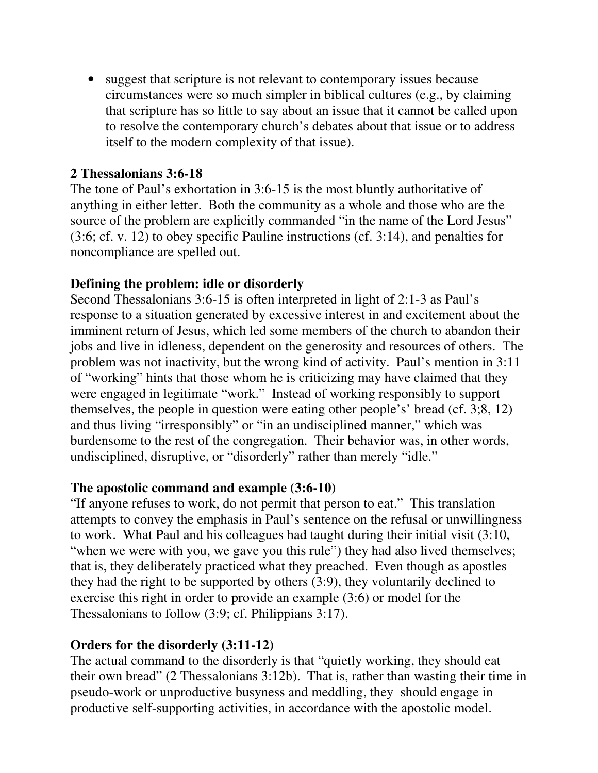• suggest that scripture is not relevant to contemporary issues because circumstances were so much simpler in biblical cultures (e.g., by claiming that scripture has so little to say about an issue that it cannot be called upon to resolve the contemporary church's debates about that issue or to address itself to the modern complexity of that issue).

#### **2 Thessalonians 3:6-18**

The tone of Paul's exhortation in 3:6-15 is the most bluntly authoritative of anything in either letter. Both the community as a whole and those who are the source of the problem are explicitly commanded "in the name of the Lord Jesus" (3:6; cf. v. 12) to obey specific Pauline instructions (cf. 3:14), and penalties for noncompliance are spelled out.

#### **Defining the problem: idle or disorderly**

Second Thessalonians 3:6-15 is often interpreted in light of 2:1-3 as Paul's response to a situation generated by excessive interest in and excitement about the imminent return of Jesus, which led some members of the church to abandon their jobs and live in idleness, dependent on the generosity and resources of others. The problem was not inactivity, but the wrong kind of activity. Paul's mention in 3:11 of "working" hints that those whom he is criticizing may have claimed that they were engaged in legitimate "work." Instead of working responsibly to support themselves, the people in question were eating other people's' bread (cf. 3;8, 12) and thus living "irresponsibly" or "in an undisciplined manner," which was burdensome to the rest of the congregation. Their behavior was, in other words, undisciplined, disruptive, or "disorderly" rather than merely "idle."

## **The apostolic command and example (3:6-10)**

"If anyone refuses to work, do not permit that person to eat." This translation attempts to convey the emphasis in Paul's sentence on the refusal or unwillingness to work. What Paul and his colleagues had taught during their initial visit (3:10, "when we were with you, we gave you this rule") they had also lived themselves; that is, they deliberately practiced what they preached. Even though as apostles they had the right to be supported by others (3:9), they voluntarily declined to exercise this right in order to provide an example (3:6) or model for the Thessalonians to follow (3:9; cf. Philippians 3:17).

#### **Orders for the disorderly (3:11-12)**

The actual command to the disorderly is that "quietly working, they should eat their own bread" (2 Thessalonians 3:12b). That is, rather than wasting their time in pseudo-work or unproductive busyness and meddling, they should engage in productive self-supporting activities, in accordance with the apostolic model.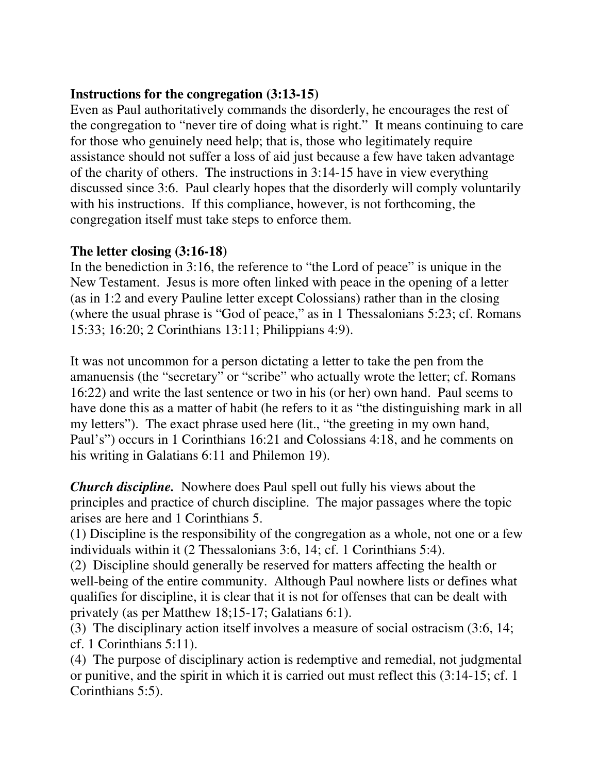## **Instructions for the congregation (3:13-15)**

Even as Paul authoritatively commands the disorderly, he encourages the rest of the congregation to "never tire of doing what is right." It means continuing to care for those who genuinely need help; that is, those who legitimately require assistance should not suffer a loss of aid just because a few have taken advantage of the charity of others. The instructions in 3:14-15 have in view everything discussed since 3:6. Paul clearly hopes that the disorderly will comply voluntarily with his instructions. If this compliance, however, is not forthcoming, the congregation itself must take steps to enforce them.

# **The letter closing (3:16-18)**

In the benediction in 3:16, the reference to "the Lord of peace" is unique in the New Testament. Jesus is more often linked with peace in the opening of a letter (as in 1:2 and every Pauline letter except Colossians) rather than in the closing (where the usual phrase is "God of peace," as in 1 Thessalonians 5:23; cf. Romans 15:33; 16:20; 2 Corinthians 13:11; Philippians 4:9).

It was not uncommon for a person dictating a letter to take the pen from the amanuensis (the "secretary" or "scribe" who actually wrote the letter; cf. Romans 16:22) and write the last sentence or two in his (or her) own hand. Paul seems to have done this as a matter of habit (he refers to it as "the distinguishing mark in all my letters"). The exact phrase used here (lit., "the greeting in my own hand, Paul's") occurs in 1 Corinthians 16:21 and Colossians 4:18, and he comments on his writing in Galatians 6:11 and Philemon 19).

*Church discipline.* Nowhere does Paul spell out fully his views about the principles and practice of church discipline. The major passages where the topic arises are here and 1 Corinthians 5.

(1) Discipline is the responsibility of the congregation as a whole, not one or a few individuals within it (2 Thessalonians 3:6, 14; cf. 1 Corinthians 5:4).

(2) Discipline should generally be reserved for matters affecting the health or well-being of the entire community. Although Paul nowhere lists or defines what qualifies for discipline, it is clear that it is not for offenses that can be dealt with privately (as per Matthew 18;15-17; Galatians 6:1).

(3) The disciplinary action itself involves a measure of social ostracism (3:6, 14; cf. 1 Corinthians 5:11).

(4) The purpose of disciplinary action is redemptive and remedial, not judgmental or punitive, and the spirit in which it is carried out must reflect this (3:14-15; cf. 1 Corinthians 5:5).